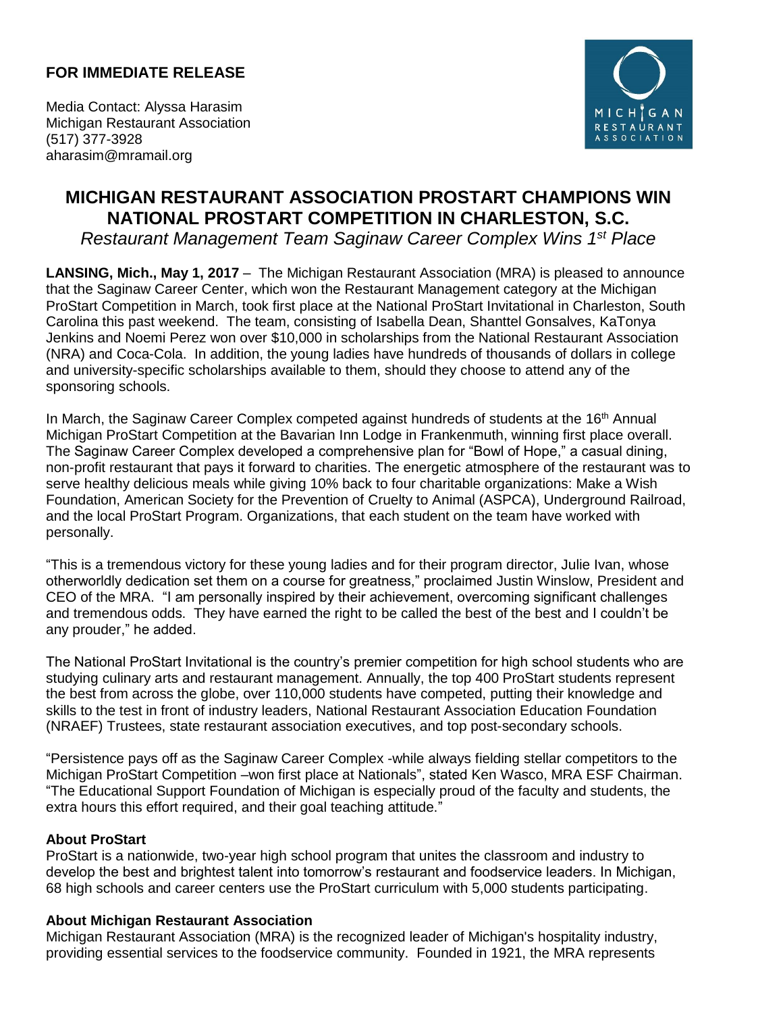## **FOR IMMEDIATE RELEASE**



Media Contact: Alyssa Harasim Michigan Restaurant Association (517) 377-3928 aharasim@mramail.org

## **MICHIGAN RESTAURANT ASSOCIATION PROSTART CHAMPIONS WIN NATIONAL PROSTART COMPETITION IN CHARLESTON, S.C.**

*Restaurant Management Team Saginaw Career Complex Wins 1 st Place*

**LANSING, Mich., May 1, 2017** – The Michigan Restaurant Association (MRA) is pleased to announce that the Saginaw Career Center, which won the Restaurant Management category at the Michigan ProStart Competition in March, took first place at the National ProStart Invitational in Charleston, South Carolina this past weekend. The team, consisting of Isabella Dean, Shanttel Gonsalves, KaTonya Jenkins and Noemi Perez won over \$10,000 in scholarships from the National Restaurant Association (NRA) and Coca-Cola. In addition, the young ladies have hundreds of thousands of dollars in college and university-specific scholarships available to them, should they choose to attend any of the sponsoring schools.

In March, the Saginaw Career Complex competed against hundreds of students at the  $16<sup>th</sup>$  Annual Michigan ProStart Competition at the Bavarian Inn Lodge in Frankenmuth, winning first place overall. The Saginaw Career Complex developed a comprehensive plan for "Bowl of Hope," a casual dining, non-profit restaurant that pays it forward to charities. The energetic atmosphere of the restaurant was to serve healthy delicious meals while giving 10% back to four charitable organizations: Make a Wish Foundation, American Society for the Prevention of Cruelty to Animal (ASPCA), Underground Railroad, and the local ProStart Program. Organizations, that each student on the team have worked with personally.

"This is a tremendous victory for these young ladies and for their program director, Julie Ivan, whose otherworldly dedication set them on a course for greatness," proclaimed Justin Winslow, President and CEO of the MRA. "I am personally inspired by their achievement, overcoming significant challenges and tremendous odds. They have earned the right to be called the best of the best and I couldn't be any prouder," he added.

The National ProStart Invitational is the country's premier competition for high school students who are studying culinary arts and restaurant management. Annually, the top 400 ProStart students represent the best from across the globe, over 110,000 students have competed, putting their knowledge and skills to the test in front of industry leaders, National Restaurant Association Education Foundation (NRAEF) Trustees, state restaurant association executives, and top post-secondary schools.

"Persistence pays off as the Saginaw Career Complex -while always fielding stellar competitors to the Michigan ProStart Competition –won first place at Nationals", stated Ken Wasco, MRA ESF Chairman. "The Educational Support Foundation of Michigan is especially proud of the faculty and students, the extra hours this effort required, and their goal teaching attitude."

## **About ProStart**

ProStart is a nationwide, two-year high school program that unites the classroom and industry to develop the best and brightest talent into tomorrow's restaurant and foodservice leaders. In Michigan, 68 high schools and career centers use the ProStart curriculum with 5,000 students participating.

## **About Michigan Restaurant Association**

Michigan Restaurant Association (MRA) is the recognized leader of Michigan's hospitality industry, providing essential services to the foodservice community. Founded in 1921, the MRA represents